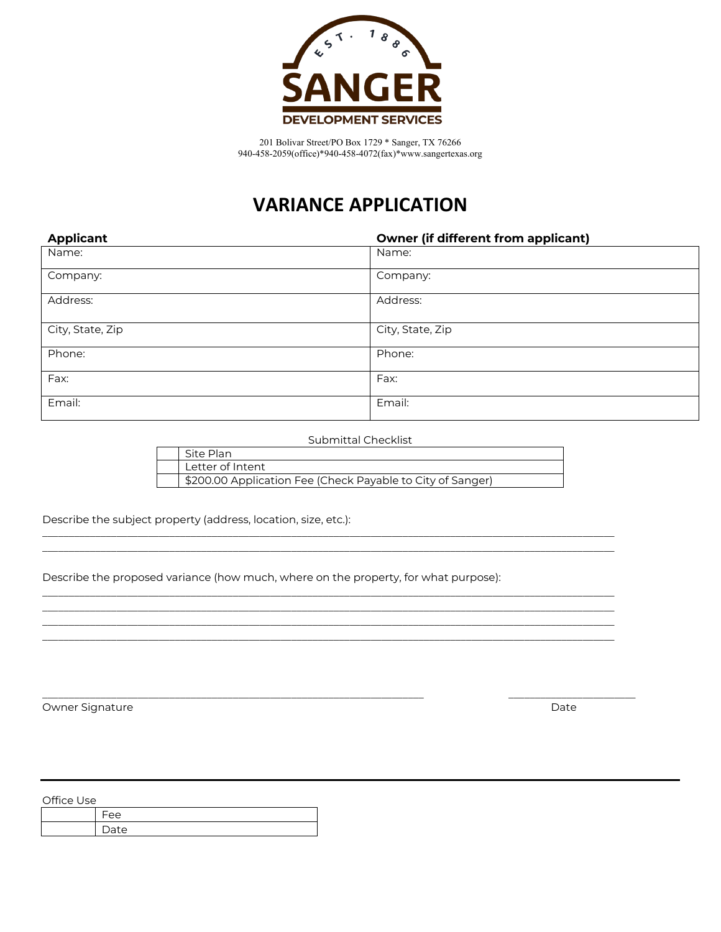

# **VARIANCE APPLICATION**

| <b>Applicant</b> | <b>Owner (if different from applicant)</b> |
|------------------|--------------------------------------------|
| Name:            | Name:                                      |
| Company:         | Company:                                   |
| Address:         | Address:                                   |
| City, State, Zip | City, State, Zip                           |
| Phone:           | Phone:                                     |
| Fax:             | Fax:                                       |
| Email:           | Email:                                     |

Submittal Checklist

| Site Plan                                                  |
|------------------------------------------------------------|
| Letter of Intent                                           |
| \$200.00 Application Fee (Check Payable to City of Sanger) |

\_\_\_\_\_\_\_\_\_\_\_\_\_\_\_\_\_\_\_\_\_\_\_\_\_\_\_\_\_\_\_\_\_\_\_\_\_\_\_\_\_\_\_\_\_\_\_\_\_\_\_\_\_\_\_\_\_\_\_\_\_\_\_\_\_\_\_\_\_\_\_\_\_\_\_\_\_\_\_\_\_\_\_\_\_\_\_\_\_\_\_\_\_\_\_\_\_\_\_\_\_\_\_\_\_\_\_\_ \_\_\_\_\_\_\_\_\_\_\_\_\_\_\_\_\_\_\_\_\_\_\_\_\_\_\_\_\_\_\_\_\_\_\_\_\_\_\_\_\_\_\_\_\_\_\_\_\_\_\_\_\_\_\_\_\_\_\_\_\_\_\_\_\_\_\_\_\_\_\_\_\_\_\_\_\_\_\_\_\_\_\_\_\_\_\_\_\_\_\_\_\_\_\_\_\_\_\_\_\_\_\_\_\_\_\_\_

\_\_\_\_\_\_\_\_\_\_\_\_\_\_\_\_\_\_\_\_\_\_\_\_\_\_\_\_\_\_\_\_\_\_\_\_\_\_\_\_\_\_\_\_\_\_\_\_\_\_\_\_\_\_\_\_\_\_\_\_\_\_\_\_\_\_\_\_\_\_\_\_\_\_\_\_\_\_\_\_\_\_\_\_\_\_\_\_\_\_\_\_\_\_\_\_\_\_\_\_\_\_\_\_\_\_\_\_ \_\_\_\_\_\_\_\_\_\_\_\_\_\_\_\_\_\_\_\_\_\_\_\_\_\_\_\_\_\_\_\_\_\_\_\_\_\_\_\_\_\_\_\_\_\_\_\_\_\_\_\_\_\_\_\_\_\_\_\_\_\_\_\_\_\_\_\_\_\_\_\_\_\_\_\_\_\_\_\_\_\_\_\_\_\_\_\_\_\_\_\_\_\_\_\_\_\_\_\_\_\_\_\_\_\_\_\_ \_\_\_\_\_\_\_\_\_\_\_\_\_\_\_\_\_\_\_\_\_\_\_\_\_\_\_\_\_\_\_\_\_\_\_\_\_\_\_\_\_\_\_\_\_\_\_\_\_\_\_\_\_\_\_\_\_\_\_\_\_\_\_\_\_\_\_\_\_\_\_\_\_\_\_\_\_\_\_\_\_\_\_\_\_\_\_\_\_\_\_\_\_\_\_\_\_\_\_\_\_\_\_\_\_\_\_\_ \_\_\_\_\_\_\_\_\_\_\_\_\_\_\_\_\_\_\_\_\_\_\_\_\_\_\_\_\_\_\_\_\_\_\_\_\_\_\_\_\_\_\_\_\_\_\_\_\_\_\_\_\_\_\_\_\_\_\_\_\_\_\_\_\_\_\_\_\_\_\_\_\_\_\_\_\_\_\_\_\_\_\_\_\_\_\_\_\_\_\_\_\_\_\_\_\_\_\_\_\_\_\_\_\_\_\_\_

 $\_$  ,  $\_$  ,  $\_$  ,  $\_$  ,  $\_$  ,  $\_$  ,  $\_$  ,  $\_$  ,  $\_$  ,  $\_$  ,  $\_$  ,  $\_$  ,  $\_$  ,  $\_$  ,  $\_$  ,  $\_$  ,  $\_$  ,  $\_$  ,  $\_$  ,  $\_$  ,  $\_$  ,  $\_$  ,  $\_$  ,  $\_$  ,  $\_$  ,  $\_$  ,  $\_$  ,  $\_$  ,  $\_$  ,  $\_$  ,  $\_$  ,  $\_$  ,  $\_$  ,  $\_$  ,  $\_$  ,  $\_$  ,  $\_$  ,

Describe the subject property (address, location, size, etc.):

Describe the proposed variance (how much, where on the property, for what purpose):

Owner Signature Date Date of the United States of the United States of the Date Date Date Date

Office Use

| $\mathsf{a}$<br>$- -$ |
|-----------------------|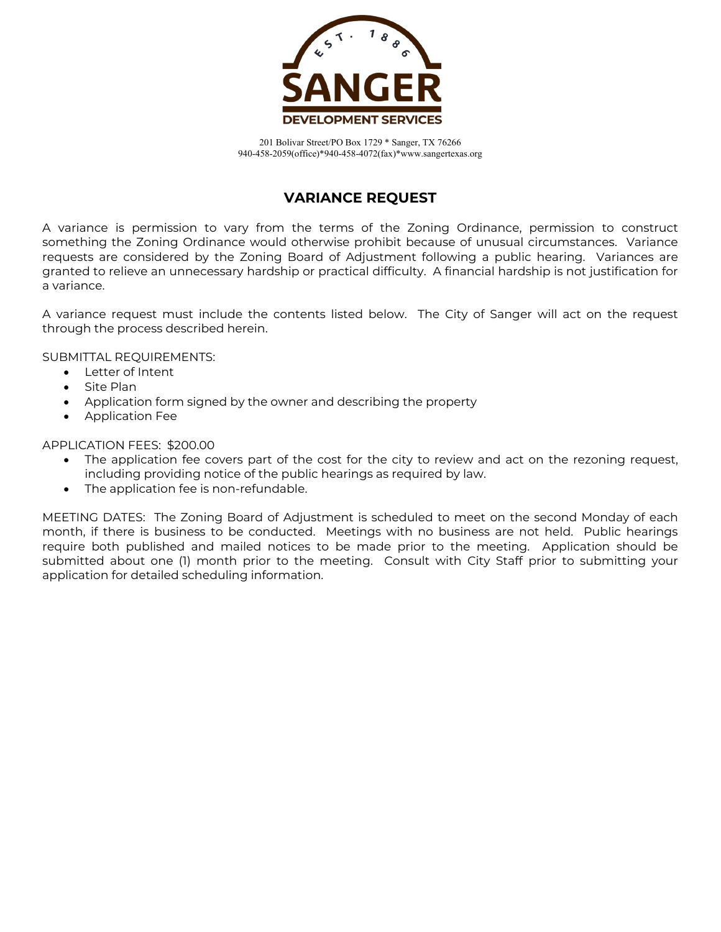

#### **VARIANCE REQUEST**

A variance is permission to vary from the terms of the Zoning Ordinance, permission to construct something the Zoning Ordinance would otherwise prohibit because of unusual circumstances. Variance requests are considered by the Zoning Board of Adjustment following a public hearing. Variances are granted to relieve an unnecessary hardship or practical difficulty. A financial hardship is not justification for a variance.

A variance request must include the contents listed below. The City of Sanger will act on the request through the process described herein.

SUBMITTAL REQUIREMENTS:

- Letter of Intent
- Site Plan
- Application form signed by the owner and describing the property
- Application Fee

APPLICATION FEES: \$200.00

- The application fee covers part of the cost for the city to review and act on the rezoning request, including providing notice of the public hearings as required by law.
- The application fee is non-refundable.

MEETING DATES: The Zoning Board of Adjustment is scheduled to meet on the second Monday of each month, if there is business to be conducted. Meetings with no business are not held. Public hearings require both published and mailed notices to be made prior to the meeting. Application should be submitted about one (1) month prior to the meeting. Consult with City Staff prior to submitting your application for detailed scheduling information.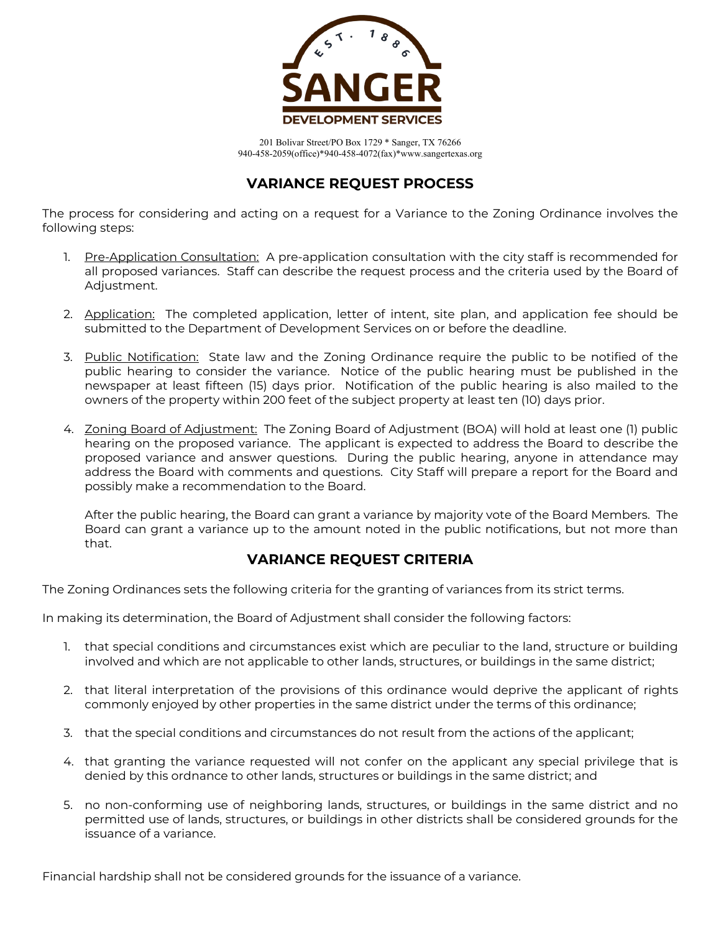

#### **VARIANCE REQUEST PROCESS**

The process for considering and acting on a request for a Variance to the Zoning Ordinance involves the following steps:

- 1. Pre-Application Consultation: A pre-application consultation with the city staff is recommended for all proposed variances. Staff can describe the request process and the criteria used by the Board of Adjustment.
- 2. Application: The completed application, letter of intent, site plan, and application fee should be submitted to the Department of Development Services on or before the deadline.
- 3. Public Notification: State law and the Zoning Ordinance require the public to be notified of the public hearing to consider the variance. Notice of the public hearing must be published in the newspaper at least fifteen (15) days prior. Notification of the public hearing is also mailed to the owners of the property within 200 feet of the subject property at least ten (10) days prior.
- 4. Zoning Board of Adjustment: The Zoning Board of Adjustment (BOA) will hold at least one (1) public hearing on the proposed variance. The applicant is expected to address the Board to describe the proposed variance and answer questions. During the public hearing, anyone in attendance may address the Board with comments and questions. City Staff will prepare a report for the Board and possibly make a recommendation to the Board.

After the public hearing, the Board can grant a variance by majority vote of the Board Members. The Board can grant a variance up to the amount noted in the public notifications, but not more than that.

#### **VARIANCE REQUEST CRITERIA**

The Zoning Ordinances sets the following criteria for the granting of variances from its strict terms.

In making its determination, the Board of Adjustment shall consider the following factors:

- 1. that special conditions and circumstances exist which are peculiar to the land, structure or building involved and which are not applicable to other lands, structures, or buildings in the same district;
- 2. that literal interpretation of the provisions of this ordinance would deprive the applicant of rights commonly enjoyed by other properties in the same district under the terms of this ordinance;
- 3. that the special conditions and circumstances do not result from the actions of the applicant;
- 4. that granting the variance requested will not confer on the applicant any special privilege that is denied by this ordnance to other lands, structures or buildings in the same district; and
- 5. no non-conforming use of neighboring lands, structures, or buildings in the same district and no permitted use of lands, structures, or buildings in other districts shall be considered grounds for the issuance of a variance.

Financial hardship shall not be considered grounds for the issuance of a variance.